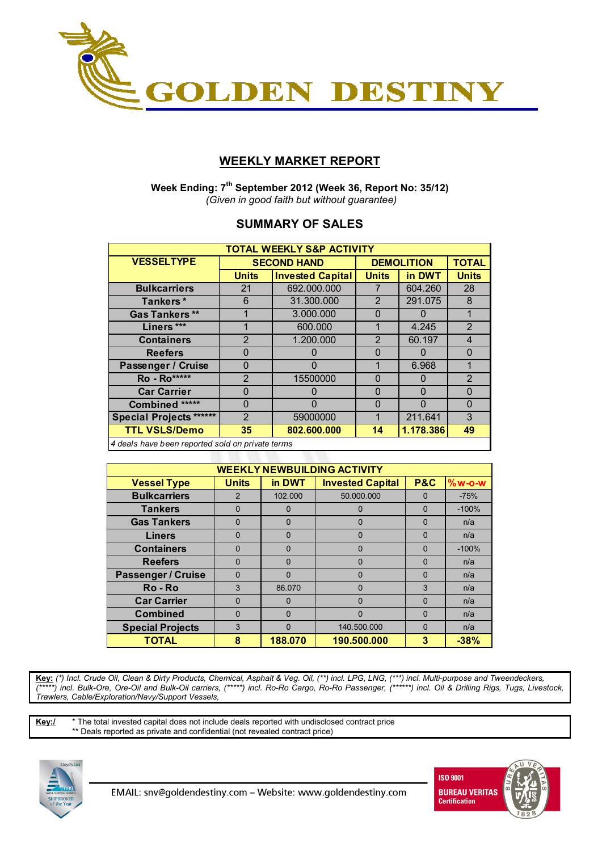

# **WEEKLY MARKET REPORT**

 **Week Ending: 7th September 2012 (Week 36, Report No: 35/12)**   *(Given in good faith but without guarantee)* 

## **SUMMARY OF SALES**

| <b>TOTAL WEEKLY S&amp;P ACTIVITY</b>             |                |                         |                |                   |                |  |  |  |  |
|--------------------------------------------------|----------------|-------------------------|----------------|-------------------|----------------|--|--|--|--|
| <b>VESSELTYPE</b>                                |                | <b>SECOND HAND</b>      |                | <b>DEMOLITION</b> |                |  |  |  |  |
|                                                  | <b>Units</b>   | <b>Invested Capital</b> | <b>Units</b>   | in DWT            | <b>Units</b>   |  |  |  |  |
| <b>Bulkcarriers</b>                              | 21             | 692.000.000             |                | 604.260           | 28             |  |  |  |  |
| Tankers*                                         | 6              | 31.300.000              | 2              | 291.075           | 8              |  |  |  |  |
| <b>Gas Tankers</b> **                            |                | 3.000.000               | $\Omega$       |                   | 1              |  |  |  |  |
| Liners ***                                       |                | 600.000                 |                | 4.245             | $\overline{2}$ |  |  |  |  |
| <b>Containers</b>                                | $\mathcal{P}$  | 1.200.000               | $\overline{2}$ | 60.197            | $\overline{4}$ |  |  |  |  |
| <b>Reefers</b>                                   | 0              | 0                       | $\Omega$       | 0                 | $\Omega$       |  |  |  |  |
| Passenger / Cruise                               | 0              | 0                       | 1              | 6.968             | 1              |  |  |  |  |
| <b>Ro</b> - Ro*****                              | $\overline{2}$ | 15500000                | $\Omega$       | 0                 | $\overline{2}$ |  |  |  |  |
| <b>Car Carrier</b>                               | 0              | 0                       | $\Omega$       | $\Omega$          | $\Omega$       |  |  |  |  |
| Combined *****                                   | 0              | 0                       | $\Omega$       | $\Omega$          | $\Omega$       |  |  |  |  |
| <b>Special Projects ******</b>                   | $\overline{2}$ | 59000000                | 1              | 211.641           | 3              |  |  |  |  |
| <b>TTL VSLS/Demo</b>                             | 35             | 802.600.000             | 14             | 1.178.386         | 49             |  |  |  |  |
| A deals have been reported sold on private terms |                |                         |                |                   |                |  |  |  |  |

*4 deals have been reported sold on private terms*

| <b>WEEKLY NEWBUILDING ACTIVITY</b> |              |          |                         |                |          |  |  |  |  |
|------------------------------------|--------------|----------|-------------------------|----------------|----------|--|--|--|--|
| <b>Vessel Type</b>                 | <b>Units</b> | in DWT   | <b>Invested Capital</b> | <b>P&amp;C</b> | $%w-O-W$ |  |  |  |  |
| <b>Bulkcarriers</b>                | 2            | 102.000  | 50.000.000              | 0              | $-75%$   |  |  |  |  |
| <b>Tankers</b>                     | $\Omega$     | $\Omega$ |                         | 0              | $-100%$  |  |  |  |  |
| <b>Gas Tankers</b>                 | O            | $\Omega$ | 0                       | $\Omega$       | n/a      |  |  |  |  |
| <b>Liners</b>                      | $\Omega$     | 0        | 0                       | $\Omega$       | n/a      |  |  |  |  |
| <b>Containers</b>                  | O            | 0        | 0                       | $\Omega$       | $-100%$  |  |  |  |  |
| <b>Reefers</b>                     | $\Omega$     | $\Omega$ | 0                       | $\Omega$       | n/a      |  |  |  |  |
| <b>Passenger / Cruise</b>          | O            | 0        | 0                       | $\Omega$       | n/a      |  |  |  |  |
| Ro-Ro                              | 3            | 86.070   | $\Omega$                | 3              | n/a      |  |  |  |  |
| <b>Car Carrier</b>                 | $\Omega$     | $\Omega$ | $\Omega$                | $\Omega$       | n/a      |  |  |  |  |
| <b>Combined</b>                    | $\Omega$     | $\Omega$ | 0                       | $\Omega$       | n/a      |  |  |  |  |
| <b>Special Projects</b>            | 3            | 0        | 140.500.000             | $\Omega$       | n/a      |  |  |  |  |
| <b>TOTAL</b>                       | 8            | 188.070  | 190.500.000             | 3              | $-38%$   |  |  |  |  |

**Key:** *(\*) Incl. Crude Oil, Clean & Dirty Products, Chemical, Asphalt & Veg. Oil, (\*\*) incl. LPG, LNG, (\*\*\*) incl. Multi-purpose and Tweendeckers, (\*\*\*\*\*) incl. Bulk-Ore, Ore-Oil and Bulk-Oil carriers, (\*\*\*\*\*) incl. Ro-Ro Cargo, Ro-Ro Passenger, (\*\*\*\*\*\*) incl. Oil & Drilling Rigs, Tugs, Livestock, Trawlers, Cable/Exploration/Navy/Support Vessels,* 

**Key:/** \* The total invested capital does not include deals reported with undisclosed contract price \*\* Deals reported as private and confidential (not revealed contract price)



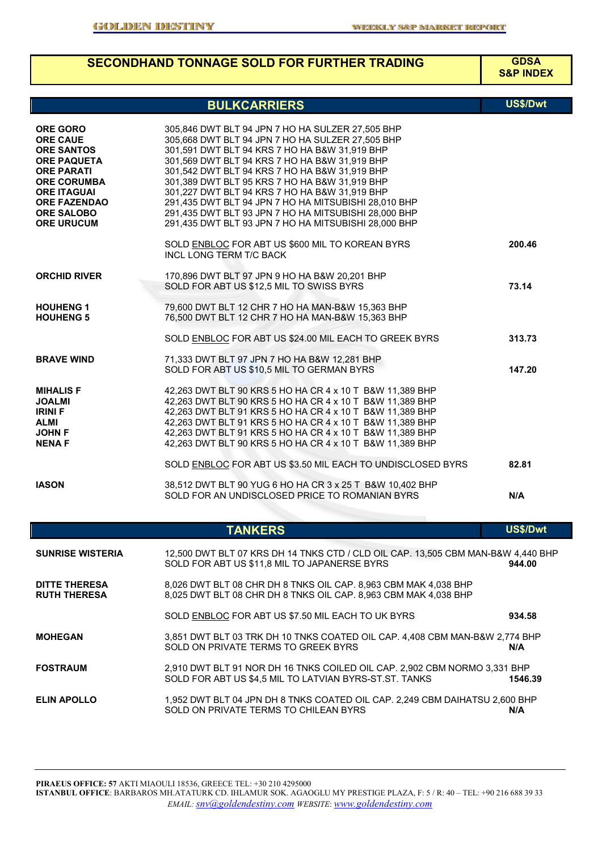# **SECONDHAND TONNAGE SOLD FOR FURTHER TRADING GDSA**

**S&P INDEX**

|                                                                                                                                                                                                                 | <b>BULKCARRIERS</b>                                                                                                                                                                                                                                                                                                                                                                                                                                                                                                               | <b>US\$/Dwt</b> |
|-----------------------------------------------------------------------------------------------------------------------------------------------------------------------------------------------------------------|-----------------------------------------------------------------------------------------------------------------------------------------------------------------------------------------------------------------------------------------------------------------------------------------------------------------------------------------------------------------------------------------------------------------------------------------------------------------------------------------------------------------------------------|-----------------|
| <b>ORE GORO</b><br><b>ORE CAUE</b><br><b>ORE SANTOS</b><br><b>ORE PAQUETA</b><br><b>ORE PARATI</b><br><b>ORE CORUMBA</b><br><b>ORE ITAGUAI</b><br><b>ORE FAZENDAO</b><br><b>ORE SALOBO</b><br><b>ORE URUCUM</b> | 305,846 DWT BLT 94 JPN 7 HO HA SULZER 27,505 BHP<br>305,668 DWT BLT 94 JPN 7 HO HA SULZER 27,505 BHP<br>301,591 DWT BLT 94 KRS 7 HO HA B&W 31,919 BHP<br>301,569 DWT BLT 94 KRS 7 HO HA B&W 31,919 BHP<br>301,542 DWT BLT 94 KRS 7 HO HA B&W 31,919 BHP<br>301,389 DWT BLT 95 KRS 7 HO HA B&W 31,919 BHP<br>301,227 DWT BLT 94 KRS 7 HO HA B&W 31,919 BHP<br>291,435 DWT BLT 94 JPN 7 HO HA MITSUBISHI 28,010 BHP<br>291,435 DWT BLT 93 JPN 7 HO HA MITSUBISHI 28,000 BHP<br>291,435 DWT BLT 93 JPN 7 HO HA MITSUBISHI 28,000 BHP |                 |
|                                                                                                                                                                                                                 | SOLD ENBLOC FOR ABT US \$600 MIL TO KOREAN BYRS<br>INCL LONG TERM T/C BACK                                                                                                                                                                                                                                                                                                                                                                                                                                                        | 200.46          |
| <b>ORCHID RIVER</b>                                                                                                                                                                                             | 170,896 DWT BLT 97 JPN 9 HO HA B&W 20,201 BHP<br>SOLD FOR ABT US \$12,5 MIL TO SWISS BYRS                                                                                                                                                                                                                                                                                                                                                                                                                                         | 73.14           |
| <b>HOUHENG 1</b><br><b>HOUHENG 5</b>                                                                                                                                                                            | 79,600 DWT BLT 12 CHR 7 HO HA MAN-B&W 15,363 BHP<br>76,500 DWT BLT 12 CHR 7 HO HA MAN-B&W 15,363 BHP                                                                                                                                                                                                                                                                                                                                                                                                                              |                 |
|                                                                                                                                                                                                                 | SOLD ENBLOC FOR ABT US \$24.00 MIL EACH TO GREEK BYRS                                                                                                                                                                                                                                                                                                                                                                                                                                                                             | 313.73          |
| <b>BRAVE WIND</b>                                                                                                                                                                                               | 71,333 DWT BLT 97 JPN 7 HO HA B&W 12,281 BHP<br>SOLD FOR ABT US \$10,5 MIL TO GERMAN BYRS                                                                                                                                                                                                                                                                                                                                                                                                                                         | 147.20          |
| <b>MIHALIS F</b><br><b>JOALMI</b><br><b>IRINI F</b><br><b>ALMI</b><br><b>JOHN F</b><br><b>NENAF</b>                                                                                                             | 42,263 DWT BLT 90 KRS 5 HO HA CR 4 x 10 T B&W 11,389 BHP<br>42,263 DWT BLT 90 KRS 5 HO HA CR 4 x 10 T B&W 11,389 BHP<br>42,263 DWT BLT 91 KRS 5 HO HA CR 4 x 10 T B&W 11,389 BHP<br>42,263 DWT BLT 91 KRS 5 HO HA CR 4 x 10 T B&W 11,389 BHP<br>42,263 DWT BLT 91 KRS 5 HO HA CR 4 x 10 T B&W 11,389 BHP<br>42,263 DWT BLT 90 KRS 5 HO HA CR 4 x 10 T B&W 11,389 BHP                                                                                                                                                              |                 |
|                                                                                                                                                                                                                 | SOLD ENBLOC FOR ABT US \$3.50 MIL EACH TO UNDISCLOSED BYRS                                                                                                                                                                                                                                                                                                                                                                                                                                                                        | 82.81           |
| <b>IASON</b>                                                                                                                                                                                                    | 38,512 DWT BLT 90 YUG 6 HO HA CR 3 x 25 T B&W 10,402 BHP<br>SOLD FOR AN UNDISCLOSED PRICE TO ROMANIAN BYRS                                                                                                                                                                                                                                                                                                                                                                                                                        | N/A             |
|                                                                                                                                                                                                                 | <b>TANKERS</b>                                                                                                                                                                                                                                                                                                                                                                                                                                                                                                                    | US\$/Dwt        |
| <b>SUNRISE WISTERIA</b>                                                                                                                                                                                         | 12,500 DWT BLT 07 KRS DH 14 TNKS CTD / CLD OIL CAP. 13,505 CBM MAN-B&W 4,440 BHP<br>SOLD FOR ABT US \$11,8 MIL TO JAPANERSE BYRS                                                                                                                                                                                                                                                                                                                                                                                                  | 944.00          |
| <b>DITTE THERESA</b><br><b>RUTH THERESA</b>                                                                                                                                                                     | 8,026 DWT BLT 08 CHR DH 8 TNKS OIL CAP. 8,963 CBM MAK 4,038 BHP<br>8,025 DWT BLT 08 CHR DH 8 TNKS OIL CAP. 8,963 CBM MAK 4,038 BHP                                                                                                                                                                                                                                                                                                                                                                                                |                 |
|                                                                                                                                                                                                                 | SOLD ENBLOC FOR ABT US \$7.50 MIL EACH TO UK BYRS                                                                                                                                                                                                                                                                                                                                                                                                                                                                                 | 934.58          |
| <b>MOHEGAN</b>                                                                                                                                                                                                  | 3,851 DWT BLT 03 TRK DH 10 TNKS COATED OIL CAP. 4,408 CBM MAN-B&W 2,774 BHP<br>SOLD ON PRIVATE TERMS TO GREEK BYRS                                                                                                                                                                                                                                                                                                                                                                                                                | N/A             |
| <b>FOSTRAUM</b>                                                                                                                                                                                                 | 2,910 DWT BLT 91 NOR DH 16 TNKS COILED OIL CAP. 2,902 CBM NORMO 3,331 BHP<br>SOLD FOR ABT US \$4,5 MIL TO LATVIAN BYRS-ST.ST. TANKS                                                                                                                                                                                                                                                                                                                                                                                               | 1546.39         |
| <b>ELIN APOLLO</b>                                                                                                                                                                                              | 1,952 DWT BLT 04 JPN DH 8 TNKS COATED OIL CAP. 2,249 CBM DAIHATSU 2,600 BHP<br>SOLD ON PRIVATE TERMS TO CHILEAN BYRS                                                                                                                                                                                                                                                                                                                                                                                                              | N/A             |

**PIRAEUS OFFICE: 57** AKTI MIAOULI 18536, GREECE TEL: +30 210 4295000 **ISTANBUL OFFICE**: BARBAROS MH.ATATURK CD. IHLAMUR SOK. AGAOGLU MY PRESTIGE PLAZA, F: 5 / R: 40 – TEL: +90 216 688 39 33

*EMAIL: snv@goldendestiny.com WEBSITE*: *www.goldendestiny.com*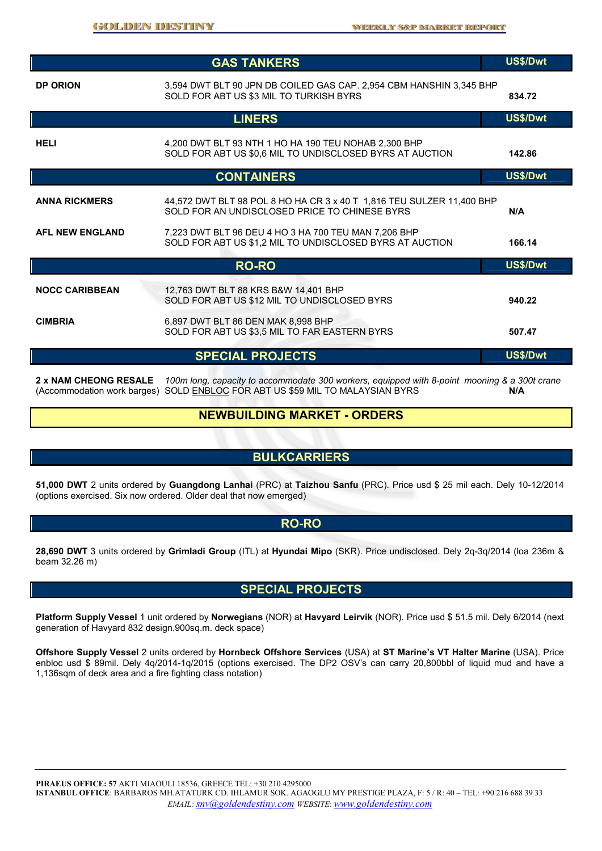|                        | <b>GAS TANKERS</b>                                                                                                     | US\$/Dwt |
|------------------------|------------------------------------------------------------------------------------------------------------------------|----------|
| <b>DP ORION</b>        | 3,594 DWT BLT 90 JPN DB COILED GAS CAP. 2,954 CBM HANSHIN 3,345 BHP<br>SOLD FOR ABT US \$3 MIL TO TURKISH BYRS         | 834.72   |
|                        | <b>LINERS</b>                                                                                                          | US\$/Dwt |
| <b>HELI</b>            | 4,200 DWT BLT 93 NTH 1 HO HA 190 TEU NOHAB 2,300 BHP<br>SOLD FOR ABT US \$0.6 MIL TO UNDISCLOSED BYRS AT AUCTION       | 142.86   |
|                        | <b>CONTAINERS</b>                                                                                                      | US\$/Dwt |
| <b>ANNA RICKMERS</b>   | 44,572 DWT BLT 98 POL 8 HO HA CR 3 x 40 T 1,816 TEU SULZER 11,400 BHP<br>SOLD FOR AN UNDISCLOSED PRICE TO CHINESE BYRS | N/A      |
| <b>AFL NEW ENGLAND</b> | 7,223 DWT BLT 96 DEU 4 HO 3 HA 700 TEU MAN 7,206 BHP<br>SOLD FOR ABT US \$1,2 MIL TO UNDISCLOSED BYRS AT AUCTION       | 166.14   |
|                        | <b>RO-RO</b>                                                                                                           | US\$/Dwt |
| <b>NOCC CARIBBEAN</b>  | 12,763 DWT BLT 88 KRS B&W 14,401 BHP<br>SOLD FOR ABT US \$12 MIL TO UNDISCLOSED BYRS                                   | 940.22   |
| <b>CIMBRIA</b>         | 6,897 DWT BLT 86 DEN MAK 8,998 BHP<br>SOLD FOR ABT US \$3,5 MIL TO FAR EASTERN BYRS                                    | 507.47   |
|                        | <b>SPECIAL PROJECTS</b>                                                                                                | US\$/Dwt |
|                        |                                                                                                                        |          |

**2 x NAM CHEONG RESALE** *100m long, capacity to accommodate 300 workers, equipped with 8-point mooning & a 300t crane* (Accommodation work barges) SOLD ENBLOC FOR ABT US \$59 MIL TO MALAYSIAN BYRS **N/A** 

### **NEWBUILDING MARKET - ORDERS**

### **BULKCARRIERS**

**51,000 DWT** 2 units ordered by **Guangdong Lanhai** (PRC) at **Taizhou Sanfu** (PRC). Price usd \$ 25 mil each. Dely 10-12/2014 (options exercised. Six now ordered. Older deal that now emerged)

#### **RO-RO**

**28,690 DWT** 3 units ordered by **Grimladi Group** (ITL) at **Hyundai Mipo** (SKR). Price undisclosed. Dely 2q-3q/2014 (loa 236m & beam 32.26 m)

#### **SPECIAL PROJECTS**

**Platform Supply Vessel** 1 unit ordered by **Norwegians** (NOR) at **Havyard Leirvik** (NOR). Price usd \$ 51.5 mil. Dely 6/2014 (next generation of Havyard 832 design.900sq.m. deck space)

**Offshore Supply Vessel** 2 units ordered by **Hornbeck Offshore Services** (USA) at **ST Marine's VT Halter Marine** (USA). Price enbloc usd \$ 89mil. Dely 4q/2014-1q/2015 (options exercised. The DP2 OSV's can carry 20,800bbl of liquid mud and have a 1,136sqm of deck area and a fire fighting class notation)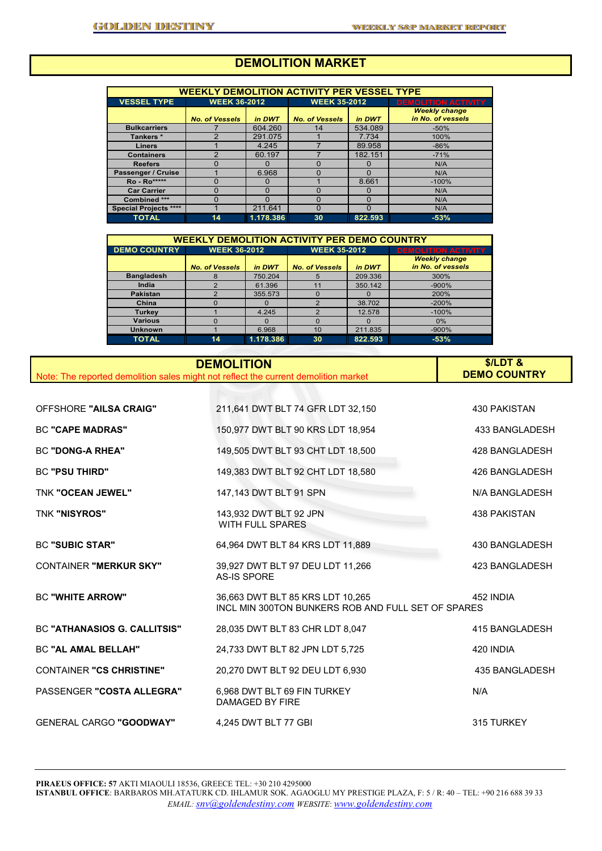# **DEMOLITION MARKET**

| <b>WEEKLY DEMOLITION ACTIVITY PER VESSEL TYPE</b> |                       |           |                       |          |                            |  |  |  |  |
|---------------------------------------------------|-----------------------|-----------|-----------------------|----------|----------------------------|--|--|--|--|
| <b>VESSEL TYPE</b>                                | <b>WEEK 36-2012</b>   |           | <b>WEEK 35-2012</b>   |          | <b>DEMOLITION ACTIVITY</b> |  |  |  |  |
|                                                   |                       |           |                       |          | <b>Weekly change</b>       |  |  |  |  |
|                                                   | <b>No. of Vessels</b> | in DWT    | <b>No. of Vessels</b> | in DWT   | in No. of vessels          |  |  |  |  |
| <b>Bulkcarriers</b>                               |                       | 604.260   | 14                    | 534.089  | $-50%$                     |  |  |  |  |
| Tankers*                                          | $\mathcal{P}$         | 291.075   |                       | 7.734    | 100%                       |  |  |  |  |
| <b>Liners</b>                                     |                       | 4.245     |                       | 89,958   | $-86%$                     |  |  |  |  |
| <b>Containers</b>                                 | 2                     | 60.197    |                       | 182.151  | $-71%$                     |  |  |  |  |
| <b>Reefers</b>                                    |                       | O         |                       | 0        | N/A                        |  |  |  |  |
| Passenger / Cruise                                |                       | 6.968     |                       | $\Omega$ | N/A                        |  |  |  |  |
| <b>Ro</b> - Ro*****                               |                       |           |                       | 8.661    | $-100%$                    |  |  |  |  |
| <b>Car Carrier</b>                                | O                     | O         | n                     | $\Omega$ | N/A                        |  |  |  |  |
| Combined ***                                      | n                     |           | n                     | $\Omega$ | N/A                        |  |  |  |  |
| <b>Special Projects ****</b>                      |                       | 211.641   | O                     | $\Omega$ | N/A                        |  |  |  |  |
| <b>TOTAL</b>                                      | 14                    | 1.178.386 | 30                    | 822.593  | $-53%$                     |  |  |  |  |

| <b>WEEKLY DEMOLITION ACTIVITY PER DEMO COUNTRY</b> |                                 |           |                       |              |                                           |  |  |  |  |
|----------------------------------------------------|---------------------------------|-----------|-----------------------|--------------|-------------------------------------------|--|--|--|--|
| <b>DEMO COUNTRY</b>                                | <b>WEEK 36-2012</b>             |           | <b>WEEK 35-2012</b>   |              | <b>DEMOLITION ACTIVITY</b>                |  |  |  |  |
|                                                    | <b>No. of Vessels</b><br>in DWT |           | <b>No. of Vessels</b> | in DWT       | <b>Weekly change</b><br>in No. of vessels |  |  |  |  |
| <b>Bangladesh</b>                                  |                                 | 750.204   | 5                     | 209.336      | 300%                                      |  |  |  |  |
| India                                              |                                 | 61.396    | 11                    | 350.142      | $-900%$                                   |  |  |  |  |
| <b>Pakistan</b>                                    | ◠                               | 355.573   |                       | $\mathbf{O}$ | 200%                                      |  |  |  |  |
| China                                              |                                 | 0         | ົ                     | 38.702       | $-200%$                                   |  |  |  |  |
| <b>Turkey</b>                                      |                                 | 4.245     | ົ                     | 12.578       | $-100%$                                   |  |  |  |  |
| <b>Various</b>                                     |                                 |           |                       |              | 0%                                        |  |  |  |  |
| <b>Unknown</b>                                     |                                 | 6.968     | 10                    | 211.835      | $-900%$                                   |  |  |  |  |
| <b>TOTAL</b>                                       | 14                              | 1.178.386 | 30                    | 822.593      | $-53%$                                    |  |  |  |  |

| Note: The reported demolition sales might not reflect the current demolition market | <b>DEMOLITION</b>                                                                      | $$/LDT$ &<br><b>DEMO COUNTRY</b> |
|-------------------------------------------------------------------------------------|----------------------------------------------------------------------------------------|----------------------------------|
|                                                                                     |                                                                                        |                                  |
| <b>OFFSHORE "AILSA CRAIG"</b>                                                       | 211,641 DWT BLT 74 GFR LDT 32,150                                                      | 430 PAKISTAN                     |
| <b>BC "CAPE MADRAS"</b>                                                             | 150,977 DWT BLT 90 KRS LDT 18,954                                                      | 433 BANGLADESH                   |
| <b>BC "DONG-A RHEA"</b>                                                             | 149,505 DWT BLT 93 CHT LDT 18,500                                                      | 428 BANGLADESH                   |
| <b>BC "PSU THIRD"</b>                                                               | 149,383 DWT BLT 92 CHT LDT 18,580                                                      | 426 BANGLADESH                   |
| <b>TNK "OCEAN JEWEL"</b>                                                            | 147,143 DWT BLT 91 SPN                                                                 | N/A BANGLADESH                   |
| <b>TNK "NISYROS"</b>                                                                | 143.932 DWT BLT 92 JPN<br>WITH FULL SPARES                                             | <b>438 PAKISTAN</b>              |
| <b>BC "SUBIC STAR"</b>                                                              | 64,964 DWT BLT 84 KRS LDT 11,889                                                       | 430 BANGLADESH                   |
| <b>CONTAINER "MERKUR SKY"</b>                                                       | 39,927 DWT BLT 97 DEU LDT 11,266<br><b>AS-IS SPORE</b>                                 | 423 BANGLADESH                   |
| <b>BC "WHITE ARROW"</b>                                                             | 36.663 DWT BLT 85 KRS LDT 10.265<br>INCL MIN 300TON BUNKERS ROB AND FULL SET OF SPARES | 452 INDIA                        |
| <b>BC "ATHANASIOS G. CALLITSIS"</b>                                                 | 28,035 DWT BLT 83 CHR LDT 8,047                                                        | 415 BANGLADESH                   |
| <b>BC "AL AMAL BELLAH"</b>                                                          | 24,733 DWT BLT 82 JPN LDT 5,725                                                        | 420 INDIA                        |
| <b>CONTAINER "CS CHRISTINE"</b>                                                     | 20,270 DWT BLT 92 DEU LDT 6,930                                                        | 435 BANGLADESH                   |
| PASSENGER "COSTA ALLEGRA"                                                           | 6,968 DWT BLT 69 FIN TURKEY<br><b>DAMAGED BY FIRE</b>                                  | N/A                              |
| <b>GENERAL CARGO "GOODWAY"</b>                                                      | 4,245 DWT BLT 77 GBI                                                                   | 315 TURKEY                       |

**PIRAEUS OFFICE: 57** AKTI MIAOULI 18536, GREECE TEL: +30 210 4295000 **ISTANBUL OFFICE**: BARBAROS MH.ATATURK CD. IHLAMUR SOK. AGAOGLU MY PRESTIGE PLAZA, F: 5 / R: 40 – TEL: +90 216 688 39 33 *EMAIL: snv@goldendestiny.com WEBSITE*: *www.goldendestiny.com*